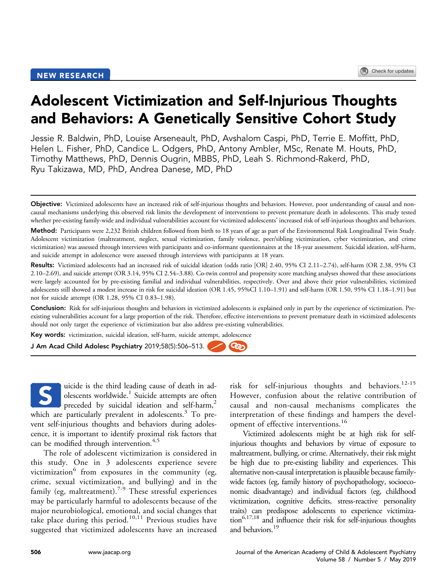# Adolescent Victimization and Self-Injurious Thoughts and Behaviors: A Genetically Sensitive Cohort Study

Jessie R. Baldwin, PhD, Louise Arseneault, PhD, Avshalom Caspi, PhD, Terrie E. Moffitt, PhD, Helen L. Fisher, PhD, Candice L. Odgers, PhD, Antony Ambler, MSc, Renate M. Houts, PhD, Timothy Matthews, PhD, Dennis Ougrin, MBBS, PhD, Leah S. Richmond-Rakerd, PhD, Ryu Takizawa, MD, PhD, Andrea Danese, MD, PhD

Method: Participants were 2,232 British children followed from birth to 18 years of age as part of the Environmental Risk Longitudinal Twin Study. Adolescent victimization (maltreatment, neglect, sexual victimization, family violence, peer/sibling victimization, cyber victimization, and crime victimization) was assessed through interviews with participants and co-informant questionnaires at the 18-year assessment. Suicidal ideation, self-harm, and suicide attempt in adolescence were assessed through interviews with participants at 18 years.

Results: Victimized adolescents had an increased risk of suicidal ideation (odds ratio [OR] 2.40, 95% CI 2.11–2.74), self-harm (OR 2.38, 95% CI 2.10–2.69), and suicide attempt (OR 3.14, 95% CI 2.54–3.88). Co-twin control and propensity score matching analyses showed that these associations were largely accounted for by pre-existing familial and individual vulnerabilities, respectively. Over and above their prior vulnerabilities, victimized adolescents still showed a modest increase in risk for suicidal ideation (OR 1.45, 95%CI 1.10–1.91) and self-harm (OR 1.50, 95% CI 1.18–1.91) but not for suicide attempt (OR 1.28, 95% CI 0.83–1.98).

Conclusion: Risk for self-injurious thoughts and behaviors in victimized adolescents is explained only in part by the experience of victimization. Preexisting vulnerabilities account for a large proportion of the risk. Therefore, effective interventions to prevent premature death in victimized adolescents should not only target the experience of victimization but also address pre-existing vulnerabilities.

രും

Key words: victimization, suicidal ideation, self-harm, suicide attempt, adolescence

J Am Acad Child Adolesc Psychiatry 2019;58(5):506–513.

uicide is the third leading cause of death in adolescents worldwide.<sup>1</sup> Suicide attempts are often preceded by suicidal ideation and self-harm,<sup>[2](#page-7-0)</sup> which are particularly prevalent in adolescents. $3$  To prevent self-injurious thoughts and behaviors during adolescence, it is important to identify proximal risk factors that can be modified through intervention.<sup>[4,5](#page-7-0)</sup> S

The role of adolescent victimization is considered in this study. One in 3 adolescents experience severe victimization $6$  from exposures in the community (eg, crime, sexual victimization, and bullying) and in the family (eg, maltreatment).<sup>[7-9](#page-7-0)</sup> These stressful experiences may be particularly harmful to adolescents because of the major neurobiological, emotional, and social changes that take place during this period.<sup>[10,11](#page-7-0)</sup> Previous studies have suggested that victimized adolescents have an increased

risk for self-injurious thoughts and behaviors.<sup>[12-15](#page-7-0)</sup> However, confusion about the relative contribution of causal and non-causal mechanisms complicates the interpretation of these findings and hampers the devel-opment of effective interventions.<sup>[16](#page-7-0)</sup>

Victimized adolescents might be at high risk for selfinjurious thoughts and behaviors by virtue of exposure to maltreatment, bullying, or crime. Alternatively, their risk might be high due to pre-existing liability and experiences. This alternative non-causal interpretation is plausible because familywide factors (eg, family history of psychopathology, socioeconomic disadvantage) and individual factors (eg, childhood victimization, cognitive deficits, stress-reactive personality traits) can predispose adolescents to experience victimiza- $\arctan^{6,17,18}$  $\arctan^{6,17,18}$  $\arctan^{6,17,18}$  and influence their risk for self-injurious thoughts and behaviors.<sup>[19](#page-7-0)</sup>

Objective: Victimized adolescents have an increased risk of self-injurious thoughts and behaviors. However, poor understanding of causal and noncausal mechanisms underlying this observed risk limits the development of interventions to prevent premature death in adolescents. This study tested whether pre-existing family-wide and individual vulnerabilities account for victimized adolescents' increased risk of self-injurious thoughts and behaviors.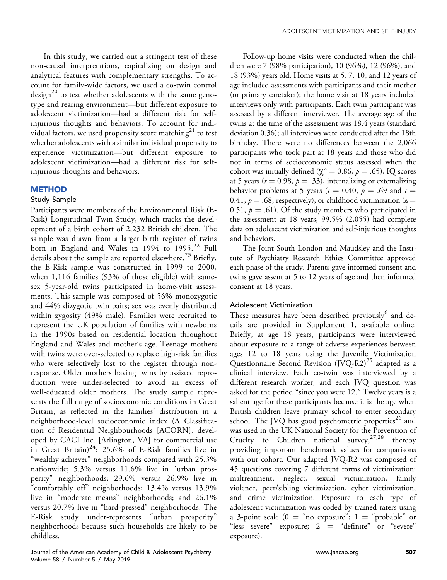In this study, we carried out a stringent test of these non-causal interpretations, capitalizing on design and analytical features with complementary strengths. To account for family-wide factors, we used a co-twin control  $\text{design}^{20}$  $\text{design}^{20}$  $\text{design}^{20}$  to test whether adolescents with the same genotype and rearing environment—but different exposure to adolescent victimization—had a different risk for selfinjurious thoughts and behaviors. To account for indi-vidual factors, we used propensity score matching<sup>[21](#page-7-0)</sup> to test whether adolescents with a similar individual propensity to experience victimization—but different exposure to adolescent victimization—had a different risk for selfinjurious thoughts and behaviors.

## **METHOD**

## Study Sample

Participants were members of the Environmental Risk (E-Risk) Longitudinal Twin Study, which tracks the development of a birth cohort of 2,232 British children. The sample was drawn from a larger birth register of twins born in England and Wales in 1994 to  $1995.^{22}$  $1995.^{22}$  $1995.^{22}$  Full details about the sample are reported elsewhere.<sup>[23](#page-7-0)</sup> Briefly, the E-Risk sample was constructed in 1999 to 2000, when 1,116 families (93% of those eligible) with samesex 5-year-old twins participated in home-visit assessments. This sample was composed of 56% monozygotic and 44% dizygotic twin pairs; sex was evenly distributed within zygosity (49% male). Families were recruited to represent the UK population of families with newborns in the 1990s based on residential location throughout England and Wales and mother's age. Teenage mothers with twins were over-selected to replace high-risk families who were selectively lost to the register through nonresponse. Older mothers having twins by assisted reproduction were under-selected to avoid an excess of well-educated older mothers. The study sample represents the full range of socioeconomic conditions in Great Britain, as reflected in the families' distribution in a neighborhood-level socioeconomic index (A Classification of Residential Neighbourhoods [ACORN], developed by CACI Inc. [Arlington, VA] for commercial use in Great Britain)<sup>[24](#page-7-0)</sup>: 25.6% of E-Risk families live in "wealthy achiever" neighborhoods compared with 25.3% nationwide; 5.3% versus 11.6% live in "urban prosperity" neighborhoods; 29.6% versus 26.9% live in "comfortably off" neighborhoods; 13.4% versus 13.9% live in "moderate means" neighborhoods; and 26.1% versus 20.7% live in "hard-pressed" neighborhoods. The E-Risk study under-represents "urban prosperity" neighborhoods because such households are likely to be childless.

Follow-up home visits were conducted when the children were 7 (98% participation), 10 (96%), 12 (96%), and 18 (93%) years old. Home visits at 5, 7, 10, and 12 years of age included assessments with participants and their mother (or primary caretaker); the home visit at 18 years included interviews only with participants. Each twin participant was assessed by a different interviewer. The average age of the twins at the time of the assessment was 18.4 years (standard deviation 0.36); all interviews were conducted after the 18th birthday. There were no differences between the 2,066 participants who took part at 18 years and those who did not in terms of socioeconomic status assessed when the cohort was initially defined ( $\chi^2 = 0.86$ ,  $p = .65$ ), IQ scores at 5 years ( $t = 0.98$ ,  $p = .33$ ), internalizing or externalizing behavior problems at 5 years ( $t = 0.40$ ,  $p = .69$  and  $t =$ 0.41,  $p = .68$ , respectively), or childhood victimization ( $z =$ 0.51,  $p = .61$ ). Of the study members who participated in the assessment at 18 years, 99.5% (2,055) had complete data on adolescent victimization and self-injurious thoughts and behaviors.

The Joint South London and Maudsley and the Institute of Psychiatry Research Ethics Committee approved each phase of the study. Parents gave informed consent and twins gave assent at 5 to 12 years of age and then informed consent at 18 years.

## Adolescent Victimization

These measures have been described previously<sup>[6](#page-7-0)</sup> and details are provided in Supplement 1, available online. Briefly, at age 18 years, participants were interviewed about exposure to a range of adverse experiences between ages 12 to 18 years using the Juvenile Victimization Questionnaire Second Revision  $(JVQ-R2)^{25}$  $(JVQ-R2)^{25}$  $(JVQ-R2)^{25}$  adapted as a clinical interview. Each co-twin was interviewed by a different research worker, and each JVQ question was asked for the period "since you were 12." Twelve years is a salient age for these participants because it is the age when British children leave primary school to enter secondary school. The JVQ has good psychometric properties $^{26}$  $^{26}$  $^{26}$  and was used in the UK National Society for the Prevention of Cruelty to Children national survey,  $27,28$  thereby providing important benchmark values for comparisons with our cohort. Our adapted JVQ-R2 was composed of 45 questions covering 7 different forms of victimization: maltreatment, neglect, sexual victimization, family violence, peer/sibling victimization, cyber victimization, and crime victimization. Exposure to each type of adolescent victimization was coded by trained raters using a 3-point scale ( $0 =$  "no exposure"; 1 = "probable" or "less severe" exposure;  $2 =$  "definite" or "severe" exposure).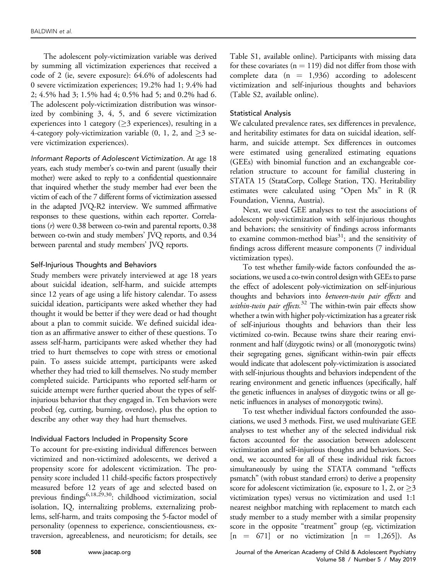The adolescent poly-victimization variable was derived by summing all victimization experiences that received a code of 2 (ie, severe exposure): 64.6% of adolescents had 0 severe victimization experiences; 19.2% had 1; 9.4% had 2; 4.5% had 3; 1.5% had 4; 0.5% had 5; and 0.2% had 6. The adolescent poly-victimization distribution was winsorized by combining 3, 4, 5, and 6 severe victimization experiences into 1 category ( $\geq$ 3 experiences), resulting in a 4-category poly-victimization variable  $(0, 1, 2, \text{ and } \geq 3 \text{ se-}$ vere victimization experiences).

Informant Reports of Adolescent Victimization. At age 18 years, each study member's co-twin and parent (usually their mother) were asked to reply to a confidential questionnaire that inquired whether the study member had ever been the victim of each of the 7 different forms of victimization assessed in the adapted JVQ-R2 interview. We summed affirmative responses to these questions, within each reporter. Correlations (r) were 0.38 between co-twin and parental reports, 0.38 between co-twin and study members' JVQ reports, and 0.34 between parental and study members' JVQ reports.

#### Self-Injurious Thoughts and Behaviors

Study members were privately interviewed at age 18 years about suicidal ideation, self-harm, and suicide attempts since 12 years of age using a life history calendar. To assess suicidal ideation, participants were asked whether they had thought it would be better if they were dead or had thought about a plan to commit suicide. We defined suicidal ideation as an affirmative answer to either of these questions. To assess self-harm, participants were asked whether they had tried to hurt themselves to cope with stress or emotional pain. To assess suicide attempt, participants were asked whether they had tried to kill themselves. No study member completed suicide. Participants who reported self-harm or suicide attempt were further queried about the types of selfinjurious behavior that they engaged in. Ten behaviors were probed (eg, cutting, burning, overdose), plus the option to describe any other way they had hurt themselves.

## Individual Factors Included in Propensity Score

To account for pre-existing individual differences between victimized and non-victimized adolescents, we derived a propensity score for adolescent victimization. The propensity score included 11 child-specific factors prospectively measured before 12 years of age and selected based on previous findings<sup>6,18,29,30</sup>: childhood victimization, social isolation, IQ, internalizing problems, externalizing problems, self-harm, and traits composing the 5-factor model of personality (openness to experience, conscientiousness, extraversion, agreeableness, and neuroticism; for details, see

Table S1, available online). Participants with missing data for these covariates ( $n = 119$ ) did not differ from those with complete data  $(n = 1,936)$  according to adolescent victimization and self-injurious thoughts and behaviors (Table S2, available online).

#### Statistical Analysis

We calculated prevalence rates, sex differences in prevalence, and heritability estimates for data on suicidal ideation, selfharm, and suicide attempt. Sex differences in outcomes were estimated using generalized estimating equations (GEEs) with binomial function and an exchangeable correlation structure to account for familial clustering in STATA 15 (StataCorp, College Station, TX). Heritability estimates were calculated using "Open Mx" in R (R Foundation, Vienna, Austria).

Next, we used GEE analyses to test the associations of adolescent poly-victimization with self-injurious thoughts and behaviors; the sensitivity of findings across informants to examine common-method bias<sup>31</sup>; and the sensitivity of findings across different measure components (7 individual victimization types).

To test whether family-wide factors confounded the associations, we used a co-twin control design with GEEs to parse the effect of adolescent poly-victimization on self-injurious thoughts and behaviors into between-twin pair effects and within-twin pair effects.<sup>[32](#page-7-0)</sup> The within-twin pair effects show whether a twin with higher poly-victimization has a greater risk of self-injurious thoughts and behaviors than their less victimized co-twin. Because twins share their rearing environment and half (dizygotic twins) or all (monozygotic twins) their segregating genes, significant within-twin pair effects would indicate that adolescent poly-victimization is associated with self-injurious thoughts and behaviors independent of the rearing environment and genetic influences (specifically, half the genetic influences in analyses of dizygotic twins or all genetic influences in analyses of monozygotic twins).

To test whether individual factors confounded the associations, we used 3 methods. First, we used multivariate GEE analyses to test whether any of the selected individual risk factors accounted for the association between adolescent victimization and self-injurious thoughts and behaviors. Second, we accounted for all of these individual risk factors simultaneously by using the STATA command "teffects psmatch" (with robust standard errors) to derive a propensity score for adolescent victimization (ie, exposure to 1, 2, or  $\geq$ 3 victimization types) versus no victimization and used 1:1 nearest neighbor matching with replacement to match each study member to a study member with a similar propensity score in the opposite "treatment" group (eg, victimization  $[n = 671]$  or no victimization  $[n = 1,265]$ ). As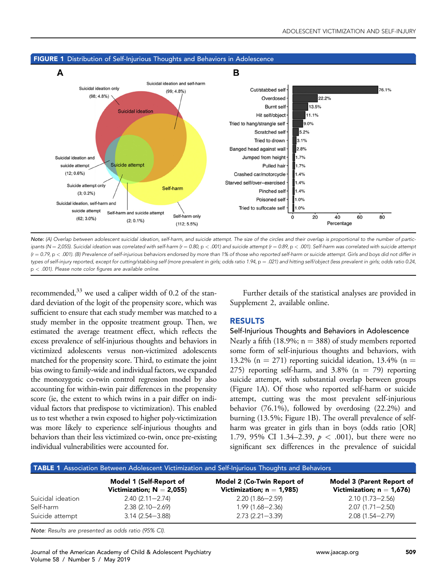

## <span id="page-3-0"></span>FIGURE 1 Distribution of Self-Injurious Thoughts and Behaviors in Adolescence

Note: (A) Overlap between adolescent suicidal ideation, self-harm, and suicide attempt. The size of the circles and their overlap is proportional to the number of participants (N = 2,055). Suicidal ideation was correlated with self-harm ( $r = 0.80$ , p < .001) and suicide attempt ( $r = 0.89$ , p < .001). Self-harm was correlated with suicide attempt  $(r = 0.79, p < .001)$ . (B) Prevalence of self-injurious behaviors endorsed by more than 1% of those who reported self-harm or suicide attempt. Girls and boys did not differ in types of self-injury reported, except for cutting/stabbing self (more prevalent in girls; odds ratio 1.94, p = .021) and hitting self/object (less prevalent in girls; odds ratio 0.24, p < .001). Please note color figures are available online.

recommended, $33$  we used a caliper width of 0.2 of the standard deviation of the logit of the propensity score, which was sufficient to ensure that each study member was matched to a study member in the opposite treatment group. Then, we estimated the average treatment effect, which reflects the excess prevalence of self-injurious thoughts and behaviors in victimized adolescents versus non-victimized adolescents matched for the propensity score. Third, to estimate the joint bias owing to family-wide and individual factors, we expanded the monozygotic co-twin control regression model by also accounting for within-twin pair differences in the propensity score (ie, the extent to which twins in a pair differ on individual factors that predispose to victimization). This enabled us to test whether a twin exposed to higher poly-victimization was more likely to experience self-injurious thoughts and behaviors than their less victimized co-twin, once pre-existing individual vulnerabilities were accounted for.

Further details of the statistical analyses are provided in Supplement 2, available online.

## RESULTS

#### Self-Injurious Thoughts and Behaviors in Adolescence

Nearly a fifth (18.9%;  $n = 388$ ) of study members reported some form of self-injurious thoughts and behaviors, with 13.2% (n = 271) reporting suicidal ideation, 13.4% (n = 275) reporting self-harm, and 3.8% ( $n = 79$ ) reporting suicide attempt, with substantial overlap between groups (Figure 1A). Of those who reported self-harm or suicide attempt, cutting was the most prevalent self-injurious behavior (76.1%), followed by overdosing (22.2%) and burning (13.5%; Figure 1B). The overall prevalence of selfharm was greater in girls than in boys (odds ratio [OR] 1.79, 95% CI 1.34–2.39,  $p < .001$ ), but there were no significant sex differences in the prevalence of suicidal

| TABLE 1 Association Between Adolescent Victimization and Self-Injurious Thoughts and Behaviors |                                                         |                                                            |                                                           |
|------------------------------------------------------------------------------------------------|---------------------------------------------------------|------------------------------------------------------------|-----------------------------------------------------------|
|                                                                                                | Model 1 (Self-Report of<br>Victimization; $N = 2,055$ ) | Model 2 (Co-Twin Report of<br>Victimization; $n = 1,985$ ) | Model 3 (Parent Report of<br>Victimization; $n = 1,676$ ) |
| Suicidal ideation                                                                              | $2.40(2.11 - 2.74)$                                     | $2.20(1.86 - 2.59)$                                        | $2.10(1.73 - 2.56)$                                       |
| Self-harm                                                                                      | $2.38(2.10 - 2.69)$                                     | $1.99(1.68 - 2.36)$                                        | $2.07(1.71 - 2.50)$                                       |
| Suicide attempt                                                                                | $3.14(2.54 - 3.88)$                                     | $2.73(2.21 - 3.39)$                                        | $2.08(1.54 - 2.79)$                                       |

Note: Results are presented as odds ratio (95% CI).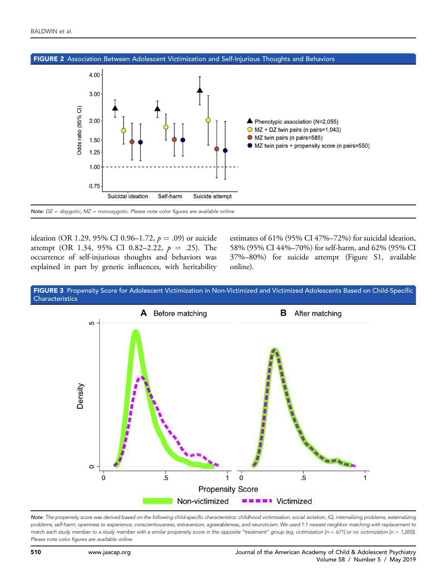<span id="page-4-0"></span>



ideation (OR 1.29, 95% CI 0.96–1.72,  $p = .09$ ) or suicide attempt (OR 1.34, 95% CI 0.82–2.22,  $p = .25$ ). The occurrence of self-injurious thoughts and behaviors was explained in part by genetic influences, with heritability estimates of 61% (95% CI 47%–72%) for suicidal ideation, 58% (95% CI 44%–70%) for self-harm, and 62% (95% CI 37%–80%) for suicide attempt (Figure S1, available online).





Note: The propensity score was derived based on the following child-specific characteristics: childhood victimization, social isolation, IQ, internalizing problems, externalizing problems, self-harm, openness to experience, conscientiousness, extraversion, agreeableness, and neuroticism. We used 1:1 nearest neighbor matching with replacement to match each study member to a study member with a similar propensity score in the opposite "treatment" group (eg, victimization [n = 671] or no victimization [n = 1,265]). Please note color figures are available online.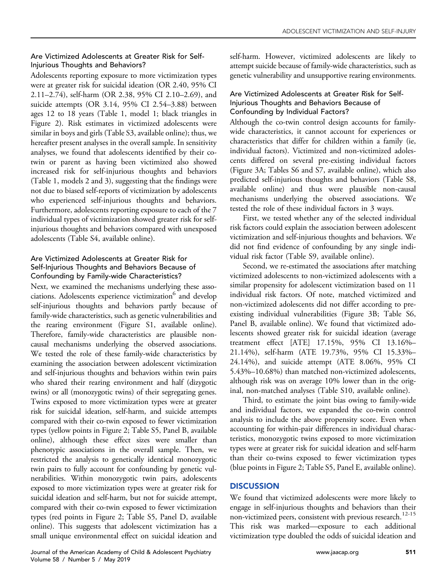## Are Victimized Adolescents at Greater Risk for Self-Injurious Thoughts and Behaviors?

Adolescents reporting exposure to more victimization types were at greater risk for suicidal ideation (OR 2.40, 95% CI 2.11–2.74), self-harm (OR 2.38, 95% CI 2.10–2.69), and suicide attempts (OR 3.14, 95% CI 2.54–3.88) between ages 12 to 18 years ([Table 1](#page-3-0), model 1; black triangles in [Figure 2\)](#page-4-0). Risk estimates in victimized adolescents were similar in boys and girls (Table S3, available online); thus, we hereafter present analyses in the overall sample. In sensitivity analyses, we found that adolescents identified by their cotwin or parent as having been victimized also showed increased risk for self-injurious thoughts and behaviors ([Table 1](#page-3-0), models 2 and 3), suggesting that the findings were not due to biased self-reports of victimization by adolescents who experienced self-injurious thoughts and behaviors. Furthermore, adolescents reporting exposure to each of the 7 individual types of victimization showed greater risk for selfinjurious thoughts and behaviors compared with unexposed adolescents (Table S4, available online).

## Are Victimized Adolescents at Greater Risk for Self-Injurious Thoughts and Behaviors Because of Confounding by Family-wide Characteristics?

Next, we examined the mechanisms underlying these associations. Adolescents experience victimization<sup>6</sup> and develop self-injurious thoughts and behaviors partly because of family-wide characteristics, such as genetic vulnerabilities and the rearing environment (Figure S1, available online). Therefore, family-wide characteristics are plausible noncausal mechanisms underlying the observed associations. We tested the role of these family-wide characteristics by examining the association between adolescent victimization and self-injurious thoughts and behaviors within twin pairs who shared their rearing environment and half (dizygotic twins) or all (monozygotic twins) of their segregating genes. Twins exposed to more victimization types were at greater risk for suicidal ideation, self-harm, and suicide attempts compared with their co-twin exposed to fewer victimization types (yellow points in [Figure 2](#page-4-0); Table S5, Panel B, available online), although these effect sizes were smaller than phenotypic associations in the overall sample. Then, we restricted the analysis to genetically identical monozygotic twin pairs to fully account for confounding by genetic vulnerabilities. Within monozygotic twin pairs, adolescents exposed to more victimization types were at greater risk for suicidal ideation and self-harm, but not for suicide attempt, compared with their co-twin exposed to fewer victimization types (red points in [Figure 2;](#page-4-0) Table S5, Panel D, available online). This suggests that adolescent victimization has a small unique environmental effect on suicidal ideation and self-harm. However, victimized adolescents are likely to attempt suicide because of family-wide characteristics, such as genetic vulnerability and unsupportive rearing environments.

## Are Victimized Adolescents at Greater Risk for Self-Injurious Thoughts and Behaviors Because of Confounding by Individual Factors?

Although the co-twin control design accounts for familywide characteristics, it cannot account for experiences or characteristics that differ for children within a family (ie, individual factors). Victimized and non-victimized adolescents differed on several pre-existing individual factors ([Figure 3](#page-4-0)A; Tables S6 and S7, available online), which also predicted self-injurious thoughts and behaviors (Table S8, available online) and thus were plausible non-causal mechanisms underlying the observed associations. We tested the role of these individual factors in 3 ways.

First, we tested whether any of the selected individual risk factors could explain the association between adolescent victimization and self-injurious thoughts and behaviors. We did not find evidence of confounding by any single individual risk factor (Table S9, available online).

Second, we re-estimated the associations after matching victimized adolescents to non-victimized adolescents with a similar propensity for adolescent victimization based on 11 individual risk factors. Of note, matched victimized and non-victimized adolescents did not differ according to preexisting individual vulnerabilities [\(Figure 3B](#page-4-0); Table S6, Panel B, available online). We found that victimized adolescents showed greater risk for suicidal ideation (average treatment effect [ATE] 17.15%, 95% CI 13.16%– 21.14%), self-harm (ATE 19.73%, 95% CI 15.33%– 24.14%), and suicide attempt (ATE 8.06%, 95% CI 5.43%–10.68%) than matched non-victimized adolescents, although risk was on average 10% lower than in the original, non-matched analyses (Table S10, available online).

Third, to estimate the joint bias owing to family-wide and individual factors, we expanded the co-twin control analysis to include the above propensity score. Even when accounting for within-pair differences in individual characteristics, monozygotic twins exposed to more victimization types were at greater risk for suicidal ideation and self-harm than their co-twins exposed to fewer victimization types (blue points in [Figure 2;](#page-4-0) Table S5, Panel E, available online).

# **DISCUSSION**

We found that victimized adolescents were more likely to engage in self-injurious thoughts and behaviors than their non-victimized peers, consistent with previous research.<sup>[12-15](#page-7-0)</sup> This risk was marked—exposure to each additional victimization type doubled the odds of suicidal ideation and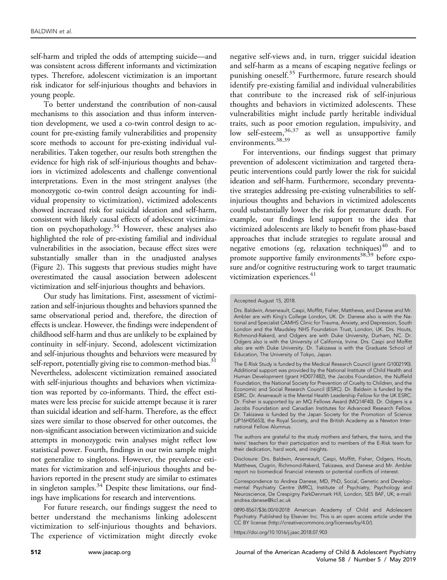self-harm and tripled the odds of attempting suicide—and was consistent across different informants and victimization types. Therefore, adolescent victimization is an important risk indicator for self-injurious thoughts and behaviors in young people.

To better understand the contribution of non-causal mechanisms to this association and thus inform intervention development, we used a co-twin control design to account for pre-existing family vulnerabilities and propensity score methods to account for pre-existing individual vulnerabilities. Taken together, our results both strengthen the evidence for high risk of self-injurious thoughts and behaviors in victimized adolescents and challenge conventional interpretations. Even in the most stringent analyses (the monozygotic co-twin control design accounting for individual propensity to victimization), victimized adolescents showed increased risk for suicidal ideation and self-harm, consistent with likely causal effects of adolescent victimiza-tion on psychopathology.<sup>[34](#page-7-0)</sup> However, these analyses also highlighted the role of pre-existing familial and individual vulnerabilities in the association, because effect sizes were substantially smaller than in the unadjusted analyses ([Figure 2](#page-4-0)). This suggests that previous studies might have overestimated the causal association between adolescent victimization and self-injurious thoughts and behaviors.

Our study has limitations. First, assessment of victimization and self-injurious thoughts and behaviors spanned the same observational period and, therefore, the direction of effects is unclear. However, the findings were independent of childhood self-harm and thus are unlikely to be explained by continuity in self-injury. Second, adolescent victimization and self-injurious thoughts and behaviors were measured by self-report, potentially giving rise to common-method bias.<sup>31</sup> Nevertheless, adolescent victimization remained associated with self-injurious thoughts and behaviors when victimization was reported by co-informants. Third, the effect estimates were less precise for suicide attempt because it is rarer than suicidal ideation and self-harm. Therefore, as the effect sizes were similar to those observed for other outcomes, the non-significant association between victimization and suicide attempts in monozygotic twin analyses might reflect low statistical power. Fourth, findings in our twin sample might not generalize to singletons. However, the prevalence estimates for victimization and self-injurious thoughts and behaviors reported in the present study are similar to estimates in singleton samples. $34$  Despite these limitations, our findings have implications for research and interventions.

For future research, our findings suggest the need to better understand the mechanisms linking adolescent victimization to self-injurious thoughts and behaviors. The experience of victimization might directly evoke

negative self-views and, in turn, trigger suicidal ideation and self-harm as a means of escaping negative feelings or punishing oneself.<sup>[35](#page-7-0)</sup> Furthermore, future research should identify pre-existing familial and individual vulnerabilities that contribute to the increased risk of self-injurious thoughts and behaviors in victimized adolescents. These vulnerabilities might include partly heritable individual traits, such as poor emotion regulation, impulsivity, and low self-esteem, [36,37](#page-7-0) as well as unsupportive family environments.<sup>[38,39](#page-7-0)</sup>

For interventions, our findings suggest that primary prevention of adolescent victimization and targeted therapeutic interventions could partly lower the risk for suicidal ideation and self-harm. Furthermore, secondary preventative strategies addressing pre-existing vulnerabilities to selfinjurious thoughts and behaviors in victimized adolescents could substantially lower the risk for premature death. For example, our findings lend support to the idea that victimized adolescents are likely to benefit from phase-based approaches that include strategies to regulate arousal and negative emotions (eg, relaxation techniques) $40$  and to promote supportive family environments<sup>[38,39](#page-7-0)</sup> before exposure and/or cognitive restructuring work to target traumatic victimization experiences.<sup>[41](#page-7-0)</sup>

The authors are grateful to the study mothers and fathers, the twins, and the twins' teachers for their participation and to members of the E-Risk team for their dedication, hard work, and insights.

Disclosure: Drs. Baldwin, Arseneault, Caspi, Moffitt, Fisher, Odgers, Houts, Matthews, Ougrin, Richmond-Rakerd, Takizawa, and Danese and Mr. Ambler report no biomedical financial interests or potential conflicts of interest.

Correspondence to Andrea Danese, MD, PhD, Social, Genetic and Developmental Psychiatry Centre (MRC), Institute of Psychiatry, Psychology and Neuroscience, De Crespigny ParkDenmark Hill, London, SE5 8AF, UK; e-mail: [andrea.danese@kcl.ac.uk](mailto:andrea.danese@kcl.ac.uk)

<https://doi.org/10.1016/j.jaac.2018.07.903>

Accepted August 15, 2018.

Drs. Baldwin, Arseneault, Caspi, Moffitt, Fisher, Matthews, and Danese and Mr. Ambler are with King's College London, UK. Dr. Danese also is with the National and Specialist CAMHS Clinic for Trauma, Anxiety, and Depression, South London and the Maudsley NHS Foundation Trust, London, UK. Drs. Houts, Richmond-Rakerd, and Odgers are with Duke University, Durham, NC. Dr. Odgers also is with the University of California, Irvine. Drs. Caspi and Moffitt also are with Duke University. Dr. Takizawa is with the Graduate School of Education, The University of Tokyo, Japan.

The E-Risk Study is funded by the Medical Research Council (grant G1002190). Additional support was provided by the National Institute of Child Health and Human Development (grant HD077482), the Jacobs Foundation, the Nuffield Foundation, the National Society for Prevention of Cruelty to Children, and the Economic and Social Research Council (ESRC). Dr. Baldwin is funded by the ESRC. Dr. Arseneault is the Mental Health Leadership Fellow for the UK ESRC. Dr. Fisher is supported by an MQ Fellows Award (MQ14F40). Dr. Odgers is a Jacobs Foundation and Canadian Institutes for Advanced Research Fellow. Dr. Takizawa is funded by the Japan Society for the Promotion of Science (JP16H05653), the Royal Society, and the British Academy as a Newton International Fellow Alumnus.

<sup>0890-8567/\$36.00/@2018</sup> American Academy of Child and Adolescent Psychiatry. Published by Elsevier Inc. This is an open access article under the CC BY license (http://creativecommons.org/licenses/by/4.0/).